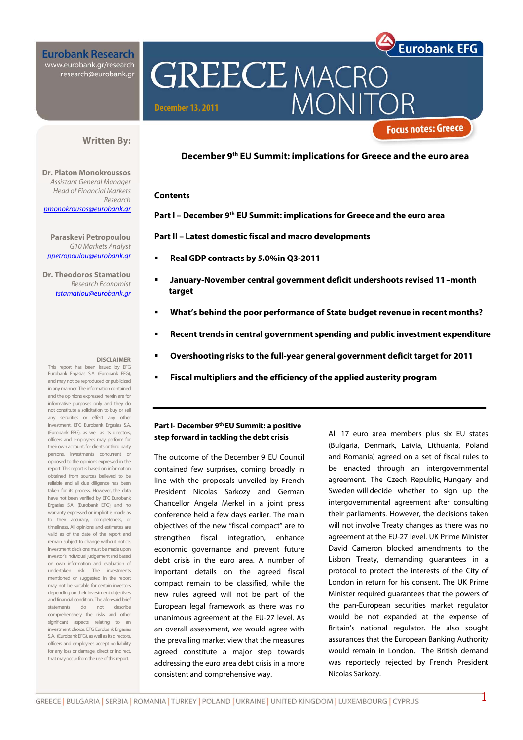# **Eurobank Research** www.eurobank.gr/research<br>research@eurobank.gr

**GREECE MACRO** MONIT **December 13, 2011** 

### **Written By:**

**Dr. Platon Monokroussos**  Assistant General Manager Head of Financial Markets Research pmonokrousos@eurobank.gr

**Paraskevi Petropoulou**  G10 Markets Analyst ppetropoulou@eurobank.gr

**Dr. Theodoros Stamatiou**  Research Economist tstamatiou@eurobank.gr

#### **DISCLAIMER**

This report has been issued by EFG Eurobank Ergasias S.A. (Eurobank EFG), and may not be reproduced or publicized in any manner. The information contained and the opinions expressed herein are for informative purposes only and they do not constitute a solicitation to buy or sell any securities or effect any other investment. EFG Eurobank Ergasias S.A. (Eurobank EFG), as well as its directors, officers and employees may perform for their own account, for clients or third party persons, investments concurrent or opposed to the opinions expressed in the report. This report is based on information obtained from sources believed to be reliable and all due diligence has been taken for its process. However, the data have not been verified by EFG Eurobank Ergasias S.A. (Eurobank EFG), and no warranty expressed or implicit is made as to their accuracy, completeness, or timeliness. All opinions and estimates are valid as of the date of the report and remain subject to change without notice. Investment decisions must be made upon investor's individual judgement and based on own information and evaluation of undertaken risk. The investments mentioned or suggested in the report may not be suitable for certain investors depending on their investment objectives and financial condition. The aforesaid brief<br>statements do not describe statements do not describe comprehensively the risks and other significant aspects relating to an investment choice. EFG Eurobank Ergasias S.A. (Eurobank EFG), as well as its directors, officers and employees accept no liability for any loss or damage, direct or indirect, that may occur from the use of this report.

**December 9th EU Summit: implications for Greece and the euro area** 

#### **Contents**

**Part I – December 9th EU Summit: implications for Greece and the euro area** 

**Part II – Latest domestic fiscal and macro developments** 

- **Real GDP contracts by 5.0%in Q3-2011**
- **January-November central government deficit undershoots revised 11–month target**
- **What's behind the poor performance of State budget revenue in recent months?**
- **Recent trends in central government spending and public investment expenditure**
- **Overshooting risks to the full-year general government deficit target for 2011**
- **Fiscal multipliers and the efficiency of the applied austerity program**

## **Part I- December 9th EU Summit: a positive step forward in tackling the debt crisis**

The outcome of the December 9 EU Council contained few surprises, coming broadly in line with the proposals unveiled by French President Nicolas Sarkozy and German Chancellor Angela Merkel in a joint press conference held a few days earlier. The main objectives of the new "fiscal compact" are to strengthen fiscal integration, enhance economic governance and prevent future debt crisis in the euro area. A number of important details on the agreed fiscal compact remain to be classified, while the new rules agreed will not be part of the European legal framework as there was no unanimous agreement at the EU-27 level. As an overall assessment, we would agree with the prevailing market view that the measures agreed constitute a major step towards addressing the euro area debt crisis in a more consistent and comprehensive way.

All 17 euro area members plus six EU states (Bulgaria, Denmark, Latvia, Lithuania, Poland and Romania) agreed on a set of fiscal rules to be enacted through an intergovernmental agreement. The Czech Republic, Hungary and Sweden will decide whether to sign up the intergovernmental agreement after consulting their parliaments. However, the decisions taken will not involve Treaty changes as there was no agreement at the EU-27 level. UK Prime Minister David Cameron blocked amendments to the Lisbon Treaty, demanding guarantees in a protocol to protect the interests of the City of London in return for his consent. The UK Prime Minister required guarantees that the powers of the pan-European securities market regulator would be not expanded at the expense of Britain's national regulator. He also sought assurances that the European Banking Authority would remain in London. The British demand was reportedly rejected by French President Nicolas Sarkozy.

**Eurobank EFG** 

**Focus notes: Greece**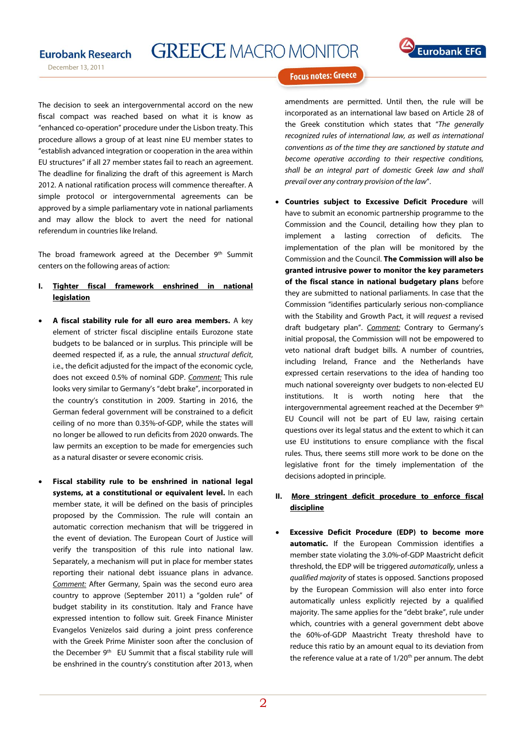# **GREECE MACRO MONITOR**



December 13, 2011



### **Focus notes: Greece**

The decision to seek an intergovernmental accord on the new fiscal compact was reached based on what it is know as "enhanced co-operation" procedure under the Lisbon treaty. This procedure allows a group of at least nine EU member states to "establish advanced integration or cooperation in the area within EU structures" if all 27 member states fail to reach an agreement. The deadline for finalizing the draft of this agreement is March 2012. A national ratification process will commence thereafter. A simple protocol or intergovernmental agreements can be approved by a simple parliamentary vote in national parliaments and may allow the block to avert the need for national referendum in countries like Ireland.

The broad framework agreed at the December 9<sup>th</sup> Summit centers on the following areas of action:

- **I. Tighter fiscal framework enshrined in national legislation**
- **A fiscal stability rule for all euro area members.** A key element of stricter fiscal discipline entails Eurozone state budgets to be balanced or in surplus. This principle will be deemed respected if, as a rule, the annual structural deficit, i.e., the deficit adjusted for the impact of the economic cycle, does not exceed 0.5% of nominal GDP. Comment: This rule looks very similar to Germany's "debt brake", incorporated in the country's constitution in 2009. Starting in 2016, the German federal government will be constrained to a deficit ceiling of no more than 0.35%-of-GDP, while the states will no longer be allowed to run deficits from 2020 onwards. The law permits an exception to be made for emergencies such as a natural disaster or severe economic crisis.
- **Fiscal stability rule to be enshrined in national legal systems, at a constitutional or equivalent level.** In each member state, it will be defined on the basis of principles proposed by the Commission. The rule will contain an automatic correction mechanism that will be triggered in the event of deviation. The European Court of Justice will verify the transposition of this rule into national law. Separately, a mechanism will put in place for member states reporting their national debt issuance plans in advance. Comment: After Germany, Spain was the second euro area country to approve (September 2011) a "golden rule" of budget stability in its constitution. Italy and France have expressed intention to follow suit. Greek Finance Minister Evangelos Venizelos said during a joint press conference with the Greek Prime Minister soon after the conclusion of the December 9<sup>th</sup> EU Summit that a fiscal stability rule will be enshrined in the country's constitution after 2013, when

amendments are permitted. Until then, the rule will be incorporated as an international law based on Article 28 of the Greek constitution which states that "The generally recognized rules of international law, as well as international conventions as of the time they are sanctioned by statute and become operative according to their respective conditions, shall be an integral part of domestic Greek law and shall prevail over any contrary provision of the law".

- **Countries subject to Excessive Deficit Procedure** will have to submit an economic partnership programme to the Commission and the Council, detailing how they plan to implement a lasting correction of deficits. The implementation of the plan will be monitored by the Commission and the Council. **The Commission will also be granted intrusive power to monitor the key parameters of the fiscal stance in national budgetary plans** before they are submitted to national parliaments. In case that the Commission "identifies particularly serious non-compliance with the Stability and Growth Pact, it will request a revised draft budgetary plan". Comment: Contrary to Germany's initial proposal, the Commission will not be empowered to veto national draft budget bills. A number of countries, including Ireland, France and the Netherlands have expressed certain reservations to the idea of handing too much national sovereignty over budgets to non-elected EU institutions. It is worth noting here that the intergovernmental agreement reached at the December 9th EU Council will not be part of EU law, raising certain questions over its legal status and the extent to which it can use EU institutions to ensure compliance with the fiscal rules. Thus, there seems still more work to be done on the legislative front for the timely implementation of the decisions adopted in principle.
- **II. More stringent deficit procedure to enforce fiscal discipline**
- **Excessive Deficit Procedure (EDP) to become more automatic.** If the European Commission identifies a member state violating the 3.0%-of-GDP Maastricht deficit threshold, the EDP will be triggered automatically, unless a qualified majority of states is opposed. Sanctions proposed by the European Commission will also enter into force automatically unless explicitly rejected by a qualified majority. The same applies for the "debt brake", rule under which, countries with a general government debt above the 60%-of-GDP Maastricht Treaty threshold have to reduce this ratio by an amount equal to its deviation from the reference value at a rate of 1/20<sup>th</sup> per annum. The debt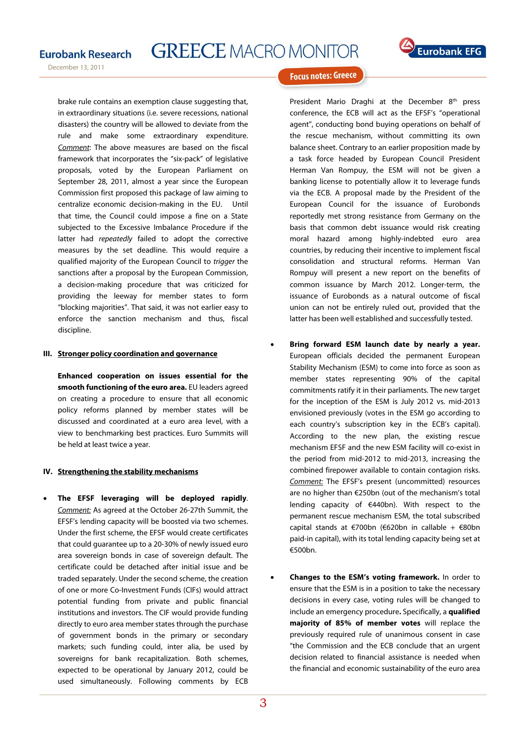

December 13, 2011

brake rule contains an exemption clause suggesting that, in extraordinary situations (i.e. severe recessions, national disasters) the country will be allowed to deviate from the rule and make some extraordinary expenditure. Comment: The above measures are based on the fiscal framework that incorporates the "six-pack" of legislative proposals, voted by the European Parliament on September 28, 2011, almost a year since the European Commission first proposed this package of law aiming to centralize economic decision-making in the EU. Until that time, the Council could impose a fine on a State subjected to the Excessive Imbalance Procedure if the latter had repeatedly failed to adopt the corrective measures by the set deadline. This would require a qualified majority of the European Council to trigger the sanctions after a proposal by the European Commission, a decision-making procedure that was criticized for providing the leeway for member states to form "blocking majorities". That said, it was not earlier easy to enforce the sanction mechanism and thus, fiscal discipline.

#### **III. Stronger policy coordination and governance**

 view to benchmarking best practices. Euro Summits will **Enhanced cooperation on issues essential for the smooth functioning of the euro area.** EU leaders agreed on creating a procedure to ensure that all economic policy reforms planned by member states will be discussed and coordinated at a euro area level, with a be held at least twice a year.

#### **IV. Strengthening the stability mechanisms**

• **The EFSF leveraging will be deployed rapidly**. Comment: As agreed at the October 26-27th Summit, the EFSF's lending capacity will be boosted via two schemes. Under the first scheme, the EFSF would create certificates that could guarantee up to a 20-30% of newly issued euro area sovereign bonds in case of sovereign default. The certificate could be detached after initial issue and be traded separately. Under the second scheme, the creation of one or more Co-Investment Funds (CIFs) would attract potential funding from private and public financial institutions and investors. The CIF would provide funding directly to euro area member states through the purchase of government bonds in the primary or secondary markets; such funding could, inter alia, be used by sovereigns for bank recapitalization. Both schemes, expected to be operational by January 2012, could be used simultaneously. Following comments by ECB



### **Focus notes: Greece**

President Mario Draghi at the December 8<sup>th</sup> press conference, the ECB will act as the EFSF's "operational agent", conducting bond buying operations on behalf of the rescue mechanism, without committing its own balance sheet. Contrary to an earlier proposition made by a task force headed by European Council President Herman Van Rompuy, the ESM will not be given a banking license to potentially allow it to leverage funds via the ECB. A proposal made by the President of the European Council for the issuance of Eurobonds reportedly met strong resistance from Germany on the basis that common debt issuance would risk creating moral hazard among highly-indebted euro area countries, by reducing their incentive to implement fiscal consolidation and structural reforms. Herman Van Rompuy will present a new report on the benefits of common issuance by March 2012. Longer-term, the issuance of Eurobonds as a natural outcome of fiscal union can not be entirely ruled out, provided that the latter has been well established and successfully tested.

- **Bring forward ESM launch date by nearly a year.**  European officials decided the permanent European Stability Mechanism (ESM) to come into force as soon as member states representing 90% of the capital commitments ratify it in their parliaments. The new target for the inception of the ESM is July 2012 vs. mid-2013 envisioned previously (votes in the ESM go according to each country's subscription key in the ECB's capital). According to the new plan, the existing rescue mechanism EFSF and the new ESM facility will co-exist in the period from mid-2012 to mid-2013, increasing the combined firepower available to contain contagion risks. Comment: The EFSF's present (uncommitted) resources are no higher than €250bn (out of the mechanism's total lending capacity of €440bn). With respect to the permanent rescue mechanism ESM, the total subscribed capital stands at €700bn (€620bn in callable + €80bn paid-in capital), with its total lending capacity being set at €500bn.
- **Changes to the ESM's voting framework.** In order to ensure that the ESM is in a position to take the necessary decisions in every case, voting rules will be changed to include an emergency procedure**.** Specifically, a **qualified majority of 85% of member votes** will replace the previously required rule of unanimous consent in case "the Commission and the ECB conclude that an urgent decision related to financial assistance is needed when the financial and economic sustainability of the euro area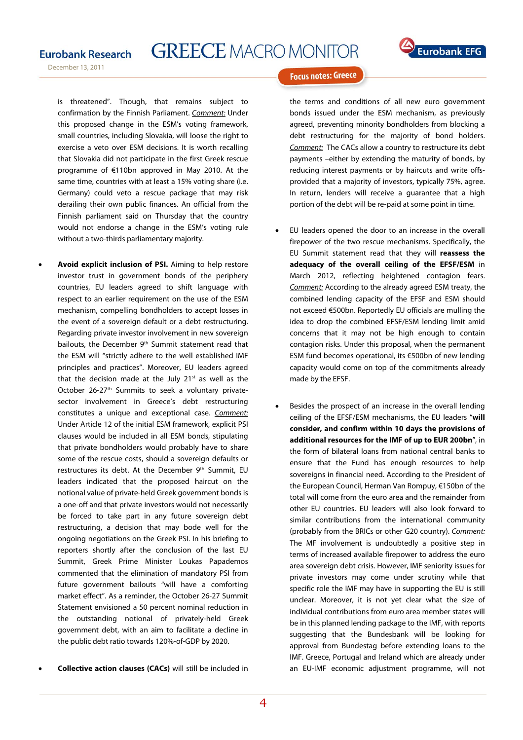

December 13, 2011



#### **Focus notes: Greece**

is threatened". Though, that remains subject to confirmation by the Finnish Parliament. Comment: Under this proposed change in the ESM's voting framework, small countries, including Slovakia, will loose the right to exercise a veto over ESM decisions. It is worth recalling that Slovakia did not participate in the first Greek rescue programme of €110bn approved in May 2010. At the same time, countries with at least a 15% voting share (i.e. Germany) could veto a rescue package that may risk derailing their own public finances. An official from the Finnish parliament said on Thursday that the country would not endorse a change in the ESM's voting rule without a two-thirds parliamentary majority.

- **Avoid explicit inclusion of PSI.** Aiming to help restore investor trust in government bonds of the periphery countries, EU leaders agreed to shift language with respect to an earlier requirement on the use of the ESM mechanism, compelling bondholders to accept losses in the event of a sovereign default or a debt restructuring. Regarding private investor involvement in new sovereign bailouts, the December 9<sup>th</sup> Summit statement read that the ESM will "strictly adhere to the well established IMF principles and practices". Moreover, EU leaders agreed that the decision made at the July  $21^{st}$  as well as the October 26-27<sup>th</sup> Summits to seek a voluntary privatesector involvement in Greece's debt restructuring constitutes a unique and exceptional case. Comment: Under Article 12 of the initial ESM framework, explicit PSI clauses would be included in all ESM bonds, stipulating that private bondholders would probably have to share some of the rescue costs, should a sovereign defaults or restructures its debt. At the December 9<sup>th</sup> Summit, EU leaders indicated that the proposed haircut on the notional value of private-held Greek government bonds is a one-off and that private investors would not necessarily be forced to take part in any future sovereign debt restructuring, a decision that may bode well for the ongoing negotiations on the Greek PSI. In his briefing to reporters shortly after the conclusion of the last EU Summit, Greek Prime Minister Loukas Papademos commented that the elimination of mandatory PSI from future government bailouts "will have a comforting market effect". As a reminder, the October 26-27 Summit Statement envisioned a 50 percent nominal reduction in the outstanding notional of privately-held Greek government debt, with an aim to facilitate a decline in the public debt ratio towards 120%-of-GDP by 2020.
- **Collective action clauses (CACs)** will still be included in

the terms and conditions of all new euro government bonds issued under the ESM mechanism, as previously agreed, preventing minority bondholders from blocking a debt restructuring for the majority of bond holders. Comment: The CACs allow a country to restructure its debt payments –either by extending the maturity of bonds, by reducing interest payments or by haircuts and write offsprovided that a majority of investors, typically 75%, agree. In return, lenders will receive a guarantee that a high portion of the debt will be re-paid at some point in time.

- EU leaders opened the door to an increase in the overall firepower of the two rescue mechanisms. Specifically, the EU Summit statement read that they will **reassess the adequacy of the overall ceiling of the EFSF/ESM** in March 2012, reflecting heightened contagion fears. Comment: According to the already agreed ESM treaty, the combined lending capacity of the EFSF and ESM should not exceed €500bn. Reportedly EU officials are mulling the idea to drop the combined EFSF/ESM lending limit amid concerns that it may not be high enough to contain contagion risks. Under this proposal, when the permanent ESM fund becomes operational, its €500bn of new lending capacity would come on top of the commitments already made by the EFSF.
- Besides the prospect of an increase in the overall lending ceiling of the EFSF/ESM mechanisms, the EU leaders "**will consider, and confirm within 10 days the provisions of additional resources for the IMF of up to EUR 200bn**", in the form of bilateral loans from national central banks to ensure that the Fund has enough resources to help sovereigns in financial need. According to the President of the European Council, Herman Van Rompuy, €150bn of the total will come from the euro area and the remainder from other EU countries. EU leaders will also look forward to similar contributions from the international community (probably from the BRICs or other G20 country). Comment: The MF involvement is undoubtedly a positive step in terms of increased available firepower to address the euro area sovereign debt crisis. However, IMF seniority issues for private investors may come under scrutiny while that specific role the IMF may have in supporting the EU is still unclear. Moreover, it is not yet clear what the size of individual contributions from euro area member states will be in this planned lending package to the IMF, with reports suggesting that the Bundesbank will be looking for approval from Bundestag before extending loans to the IMF. Greece, Portugal and Ireland which are already under an EU-IMF economic adjustment programme, will not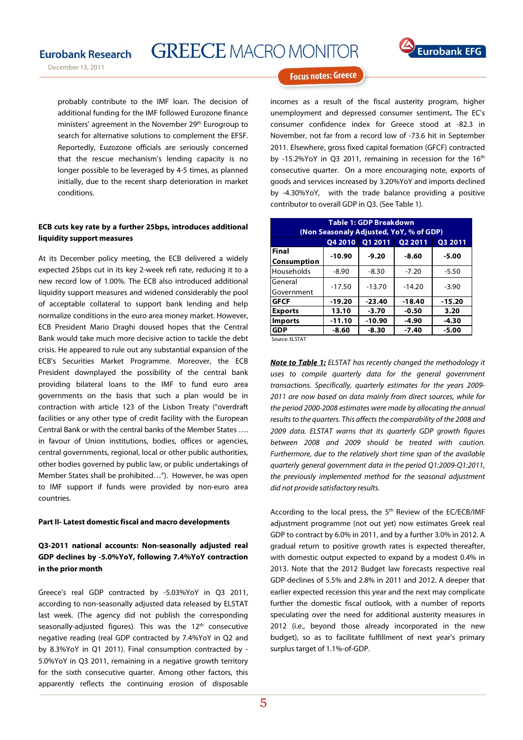



**Focus notes: Greece** 

probably contribute to the IMF loan. The decision of additional funding for the IMF followed Eurozone finance ministers' agreement in the November 29<sup>th</sup> Eurogroup to search for alternative solutions to complement the EFSF. Reportedly, Euzozone officials are seriously concerned that the rescue mechanism's lending capacity is no longer possible to be leveraged by 4-5 times, as planned initially, due to the recent sharp deterioration in market conditions.

### **ECB cuts key rate by a further 25bps, introduces additional liquidity support measures**

 facilities or any other type of credit facility with the European At its December policy meeting, the ECB delivered a widely expected 25bps cut in its key 2-week refi rate, reducing it to a new record low of 1.00%. The ECB also introduced additional liquidity support measures and widened considerably the pool of acceptable collateral to support bank lending and help normalize conditions in the euro area money market. However, ECB President Mario Draghi doused hopes that the Central Bank would take much more decisive action to tackle the debt crisis. He appeared to rule out any substantial expansion of the ECB's Securities Market Programme. Moreover, the ECB President downplayed the possibility of the central bank providing bilateral loans to the IMF to fund euro area governments on the basis that such a plan would be in contraction with article 123 of the Lisbon Treaty ("overdraft Central Bank or with the central banks of the Member States …. in favour of Union institutions, bodies, offices or agencies, central governments, regional, local or other public authorities, other bodies governed by public law, or public undertakings of Member States shall be prohibited…"). However, he was open to IMF support if funds were provided by non-euro area countries.

#### **Part II- Latest domestic fiscal and macro developments**

## **Q3-2011 national accounts: Non-seasonally adjusted real GDP declines by -5.0%YoY, following 7.4%YoY contraction in the prior month**

Greece's real GDP contracted by -5.03%YoY in Q3 2011, according to non-seasonally adjusted data released by ELSTAT last week. (The agency did not publish the corresponding seasonally-adjusted figures). This was the 12<sup>th</sup> consecutive negative reading (real GDP contracted by 7.4%YoY in Q2 and by 8.3%YoY in Q1 2011). Final consumption contracted by - 5.0%YoY in Q3 2011, remaining in a negative growth territory for the sixth consecutive quarter. Among other factors, this apparently reflects the continuing erosion of disposable

incomes as a result of the fiscal austerity program, higher unemployment and depressed consumer sentiment**.** The EC's consumer confidence index for Greece stood at -82.3 in November, not far from a record low of -73.6 hit in September 2011. Elsewhere, gross fixed capital formation (GFCF) contracted by -15.2%YoY in Q3 2011, remaining in recession for the 16<sup>th</sup> consecutive quarter. On a more encouraging note, exports of goods and services increased by 3.20%YoY and imports declined by -4.30%YoY, with the trade balance providing a positive contributor to overall GDP in Q3. (See Table 1).

| <b>Table 1: GDP Breakdown</b><br>(Non Seasonaly Adjusted, YoY, % of GDP) |                |          |          |                |  |  |
|--------------------------------------------------------------------------|----------------|----------|----------|----------------|--|--|
|                                                                          | <b>Q4 2010</b> | 01 2011  | Q2 2011  | <b>Q3 2011</b> |  |  |
| <b>Final</b>                                                             | $-10.90$       | $-9.20$  | -8.60    | -5.00          |  |  |
| Consumption                                                              |                |          |          |                |  |  |
| Households                                                               | $-8.90$        | $-8.30$  | $-7.20$  | $-5.50$        |  |  |
| General                                                                  | $-17.50$       | $-13.70$ | $-14.20$ | $-3.90$        |  |  |
| Government                                                               |                |          |          |                |  |  |
| <b>GFCF</b>                                                              | $-19.20$       | $-23.40$ | $-18.40$ | $-15.20$       |  |  |
| <b>Exports</b>                                                           | 13.10          | $-3.70$  | $-0.50$  | 3.20           |  |  |
| <b>Imports</b>                                                           | $-11.10$       | $-10.90$ | $-4.90$  | $-4.30$        |  |  |
| <b>GDP</b>                                                               | -8.60          | $-8.30$  | $-7.40$  | $-5.00$        |  |  |
| Source: ELSTAT                                                           |                |          |          |                |  |  |

**Note to Table 1:** ELSTAT has recently changed the methodology it uses to compile quarterly data for the general government transactions. Specifically, quarterly estimates for the years 2009- 2011 are now based on data mainly from direct sources, while for the period 2000-2008 estimates were made by allocating the annual results to the quarters. This affects the comparability of the 2008 and 2009 data. ELSTAT warns that its quarterly GDP growth figures between 2008 and 2009 should be treated with caution. Furthermore, due to the relatively short time span of the available quarterly general government data in the period Q1:2009-Q1:2011, the previously implemented method for the seasonal adjustment did not provide satisfactory results.

According to the local press, the 5<sup>th</sup> Review of the EC/ECB/IMF adjustment programme (not out yet) now estimates Greek real GDP to contract by 6.0% in 2011, and by a further 3.0% in 2012. A gradual return to positive growth rates is expected thereafter, with domestic output expected to expand by a modest 0.4% in 2013. Note that the 2012 Budget law forecasts respective real GDP declines of 5.5% and 2.8% in 2011 and 2012. A deeper that earlier expected recession this year and the next may complicate further the domestic fiscal outlook, with a number of reports speculating over the need for additional austerity measures in 2012 (i.e., beyond those already incorporated in the new budget), so as to facilitate fulfillment of next year's primary surplus target of 1.1%-of-GDP.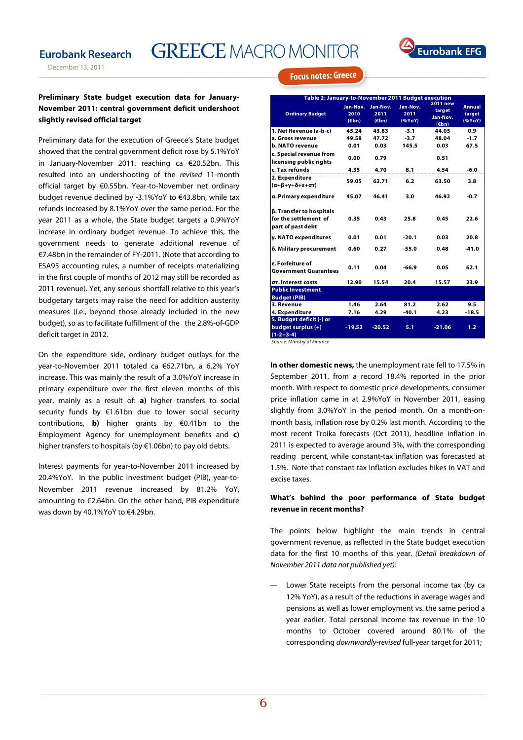# **Eurobank Research**

# **GREECE MACRO MONITOR**



**Focus notes: Greece** 

### **Preliminary State budget execution data for January-November 2011: central government deficit undershoot slightly revised official target**

Preliminary data for the execution of Greece's State budget showed that the central government deficit rose by 5.1%YoY in January-November 2011, reaching ca €20.52bn. This resulted into an undershooting of the revised 11-month official target by €0.55bn. Year-to-November net ordinary budget revenue declined by -3.1%YoY to €43.8bn, while tax refunds increased by 8.1%YoY over the same period. For the year 2011 as a whole, the State budget targets a 0.9%YoY increase in ordinary budget revenue. To achieve this, the government needs to generate additional revenue of €7.48bn in the remainder of FY-2011. (Note that according to ESA95 accounting rules, a number of receipts materializing in the first couple of months of 2012 may still be recorded as 2011 revenue). Yet, any serious shortfall relative to this year's budgetary targets may raise the need for addition austerity measures (i.e., beyond those already included in the new budget), so as to facilitate fulfillment of the the 2.8%-of-GDP deficit target in 2012.

On the expenditure side, ordinary budget outlays for the year-to-November 2011 totaled ca €62.71bn, a 6.2% YoY increase. This was mainly the result of a 3.0%YoY increase in primary expenditure over the first eleven months of this year, mainly as a result of: **a)** higher transfers to social security funds by €1.61bn due to lower social security contributions, **b)** higher grants by €0.41bn to the Employment Agency for unemployment benefits and **c)** higher transfers to hospitals (by €1.06bn) to pay old debts.

Interest payments for year-to-November 2011 increased by 20.4%YoY. In the public investment budget (PIB), year-to-November 2011 revenue increased by 81.2% YoY, amounting to €2.64bn. On the other hand, PIB expenditure was down by 40.1%YoY to €4.29bn.

| Table 2: January-to-November 2011 Budget execution                            |                                     |                           |                            |                                                          |                            |  |  |
|-------------------------------------------------------------------------------|-------------------------------------|---------------------------|----------------------------|----------------------------------------------------------|----------------------------|--|--|
| <b>Ordinary Budget</b>                                                        | Jan-Nov.<br>2010<br>$(\epsilon$ bn) | Jan-Nov.<br>2011<br>(Ebn) | Jan-Nov.<br>2011<br>(%YoY) | <b>2011 new</b><br>target<br>Jan-Nov.<br>$(\epsilon$ bn) | Annual<br>target<br>(%YoY) |  |  |
| 1. Net Revenue (a-b-c)                                                        | 45.24                               | 43.83                     | $-3.1$                     | 44.05                                                    | 0.9                        |  |  |
| a. Gross revenue                                                              | 49.58                               | 47.72                     | $-3.7$                     | 48.04                                                    | $-1.7$                     |  |  |
| b. NATO revenue                                                               | 0.01                                | 0.03                      | 145.5                      | 0.03                                                     | 67.5                       |  |  |
| c. Special revenue from<br>licensing public rights                            | 0.00                                | 0.79                      |                            | 0.51                                                     |                            |  |  |
| c. Tax refunds                                                                | 4.35                                | 4.70                      | 8.1                        | 4.54                                                     | $-6.0$                     |  |  |
| 2. Expenditure<br>$(\alpha+\beta+\gamma+\delta+\epsilon+\sigma\tau)$          | 59.05                               | 62.71                     | 6.2                        | 63.50                                                    | 3.8                        |  |  |
| a. Primary expenditure                                                        | 45.07                               | 46.41                     | 3.0                        | 46.92                                                    | $-0.7$                     |  |  |
| <b>B. Transfer to hospitals</b><br>for the settlement of<br>part of past debt | 0.35                                | 0.43                      | 25.8                       | 0.45                                                     | 22.6                       |  |  |
| y. NATO expenditures                                                          | 0.01                                | 0.01                      | $-20.1$                    | 0.03                                                     | 20.8                       |  |  |
| δ. Military procurement                                                       | 0.60                                | 0.27                      | $-55.0$                    | 0.48                                                     | $-41.0$                    |  |  |
| s. Forfeiture of<br><b>Government Guarantees</b>                              | 0.11                                | 0.04                      | $-66.9$                    | 0.05                                                     | 62.1                       |  |  |
| στ. Interest costs                                                            | 12.90                               | 15.54                     | 20.4                       | 15.57                                                    | 23.9                       |  |  |
| <b>Public Investment</b>                                                      |                                     |                           |                            |                                                          |                            |  |  |
| <b>Budget (PIB)</b>                                                           |                                     |                           |                            |                                                          |                            |  |  |
| 3. Revenue                                                                    | 1.46                                | 2.64                      | 81.2                       | 2.62                                                     | 9.5                        |  |  |
| 4. Expenditure                                                                | 7.16                                | 4.29                      | $-40.1$                    | 4.23                                                     | $-18.5$                    |  |  |
| 5. Budget deficit (-) or                                                      |                                     |                           |                            |                                                          |                            |  |  |
| budget surplus (+)<br>$(1-2+3-4)$                                             | $-19.52$                            | $-20.52$                  | 5.1                        | $-21.06$                                                 | 1.2                        |  |  |

Source: Ministry of Finance

**In other domestic news,** the unemployment rate fell to 17.5% in September 2011, from a record 18.4% reported in the prior month. With respect to domestic price developments, consumer price inflation came in at 2.9%YoY in November 2011, easing slightly from 3.0%YoY in the period month. On a month-onmonth basis, inflation rose by 0.2% last month. According to the most recent Troika forecasts (Oct 2011), headline inflation in 2011 is expected to average around 3%, with the corresponding reading percent, while constant-tax inflation was forecasted at 1.5%. Note that constant tax inflation excludes hikes in VAT and excise taxes.

### **What's behind the poor performance of State budget revenue in recent months?**

The points below highlight the main trends in central government revenue, as reflected in the State budget execution data for the first 10 months of this year. (Detail breakdown of November 2011 data not published yet):

― Lower State receipts from the personal income tax (by ca 12% YoY), as a result of the reductions in average wages and pensions as well as lower employment vs. the same period a year earlier. Total personal income tax revenue in the 10 months to October covered around 80.1% of the corresponding downwardly-revised full-year target for 2011;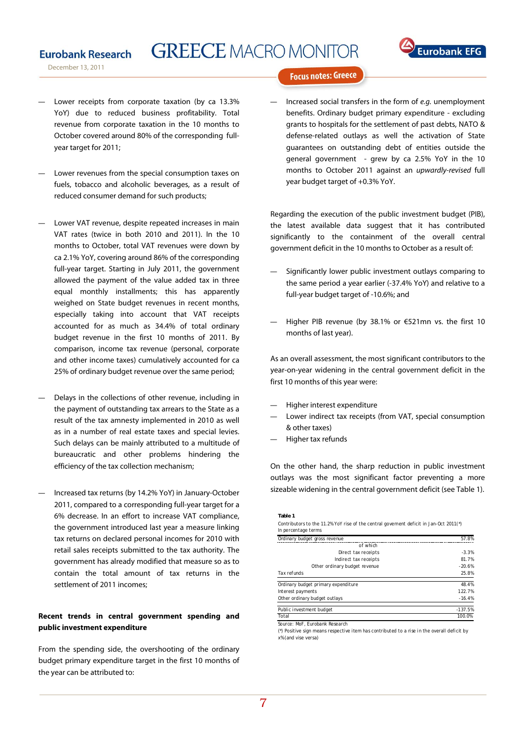# **GREECE MACRO MONITOR**

December 13, 2011

**Eurobank Research** 



**Focus notes: Greece** 

- Lower receipts from corporate taxation (by ca 13.3% YoY) due to reduced business profitability. Total revenue from corporate taxation in the 10 months to October covered around 80% of the corresponding fullyear target for 2011;
- Lower revenues from the special consumption taxes on fuels, tobacco and alcoholic beverages, as a result of reduced consumer demand for such products;
- Lower VAT revenue, despite repeated increases in main VAT rates (twice in both 2010 and 2011). In the 10 months to October, total VAT revenues were down by ca 2.1% YoY, covering around 86% of the corresponding full-year target. Starting in July 2011, the government allowed the payment of the value added tax in three equal monthly installments; this has apparently weighed on State budget revenues in recent months, especially taking into account that VAT receipts accounted for as much as 34.4% of total ordinary budget revenue in the first 10 months of 2011. By comparison, income tax revenue (personal, corporate and other income taxes) cumulatively accounted for ca 25% of ordinary budget revenue over the same period;
- ― Delays in the collections of other revenue, including in the payment of outstanding tax arrears to the State as a result of the tax amnesty implemented in 2010 as well as in a number of real estate taxes and special levies. Such delays can be mainly attributed to a multitude of bureaucratic and other problems hindering the efficiency of the tax collection mechanism;
- ― Increased tax returns (by 14.2% YoY) in January-October 2011, compared to a corresponding full-year target for a 6% decrease. In an effort to increase VAT compliance, the government introduced last year a measure linking tax returns on declared personal incomes for 2010 with retail sales receipts submitted to the tax authority. The government has already modified that measure so as to contain the total amount of tax returns in the settlement of 2011 incomes;

### **Recent trends in central government spending and public investment expenditure**

From the spending side, the overshooting of the ordinary budget primary expenditure target in the first 10 months of the year can be attributed to:

Increased social transfers in the form of e.g. unemployment benefits. Ordinary budget primary expenditure - excluding grants to hospitals for the settlement of past debts, NATO & defense-related outlays as well the activation of State guarantees on outstanding debt of entities outside the general government - grew by ca 2.5% YoY in the 10 months to October 2011 against an upwardly-revised full year budget target of +0.3% YoY.

Regarding the execution of the public investment budget (PIB), the latest available data suggest that it has contributed significantly to the containment of the overall central government deficit in the 10 months to October as a result of:

- Significantly lower public investment outlays comparing to the same period a year earlier (-37.4% YoY) and relative to a full-year budget target of -10.6%; and
- ― Higher PIB revenue (by 38.1% or €521mn vs. the first 10 months of last year).

As an overall assessment, the most significant contributors to the year-on-year widening in the central government deficit in the first 10 months of this year were:

- Higher interest expenditure
- Lower indirect tax receipts (from VAT, special consumption & other taxes)
- Higher tax refunds

On the other hand, the sharp reduction in public investment outlays was the most significant factor preventing a more sizeable widening in the central government deficit (see Table 1).

**Table 1**

Contributors to the 11.2% YoY rise of the central governent deficit in Jan-Oct 2011(\*) *In percentage terms* 

| Ordinary budget gross revenue       | 57.8%     |
|-------------------------------------|-----------|
| of which                            |           |
| Direct tax receipts                 | $-3.3%$   |
| Indirect tax receipts               | 81.7%     |
| Other ordinary budget revenue       | $-20.6%$  |
| Tax refunds                         | 25.8%     |
| Ordinary budget primary expenditure | 48.4%     |
| Interest payments                   | 122.7%    |
| Other ordinary budget outlays       | $-16.4%$  |
| Public investment budget            | $-137.5%$ |
| Total                               | 100.0%    |

Source: MoF, Eurobank Research

(\*) Positive sign means respective item has contributed to a rise in the overall deficit by x% (and vise versa)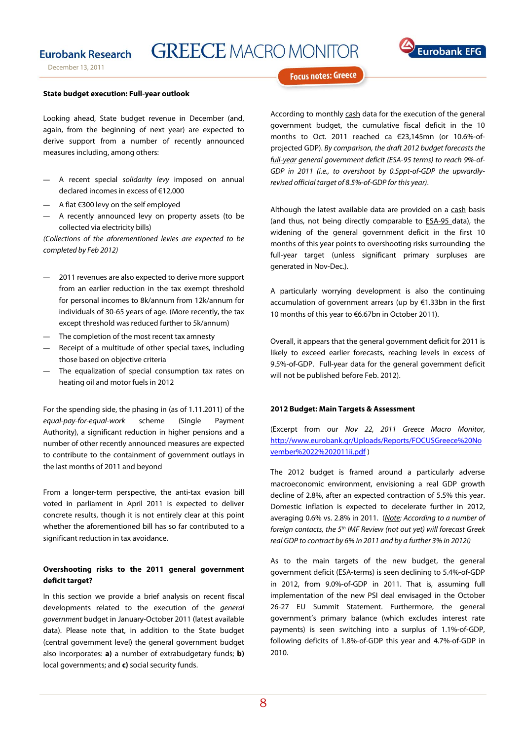## **Eurobank Research**

December 13, 2011

# **GREECE MACRO MONITOR**



**Focus notes: Greece** 

#### **State budget execution: Full-year outlook**

Looking ahead, State budget revenue in December (and, again, from the beginning of next year) are expected to derive support from a number of recently announced measures including, among others:

- ― A recent special solidarity levy imposed on annual declared incomes in excess of €12,000
- ― A flat €300 levy on the self employed
- A recently announced levy on property assets (to be collected via electricity bills)

(Collections of the aforementioned levies are expected to be completed by Feb 2012)

- 2011 revenues are also expected to derive more support from an earlier reduction in the tax exempt threshold for personal incomes to 8k/annum from 12k/annum for individuals of 30-65 years of age. (More recently, the tax except threshold was reduced further to 5k/annum)
- ― The completion of the most recent tax amnesty
- ― Receipt of a multitude of other special taxes, including those based on objective criteria
- ― The equalization of special consumption tax rates on heating oil and motor fuels in 2012

For the spending side, the phasing in (as of 1.11.2011) of the equal-pay-for-equal-work scheme (Single Payment Authority), a significant reduction in higher pensions and a number of other recently announced measures are expected to contribute to the containment of government outlays in the last months of 2011 and beyond

From a longer-term perspective, the anti-tax evasion bill voted in parliament in April 2011 is expected to deliver concrete results, though it is not entirely clear at this point whether the aforementioned bill has so far contributed to a significant reduction in tax avoidance.

### **Overshooting risks to the 2011 general government deficit target?**

In this section we provide a brief analysis on recent fiscal developments related to the execution of the general government budget in January-October 2011 (latest available data). Please note that, in addition to the State budget (central government level) the general government budget also incorporates: **a)** a number of extrabudgetary funds; **b)** local governments; and **c)** social security funds.

According to monthly cash data for the execution of the general government budget, the cumulative fiscal deficit in the 10 months to Oct. 2011 reached ca €23,145mn (or 10.6%-ofprojected GDP). By comparison, the draft 2012 budget forecasts the full-year general government deficit (ESA-95 terms) to reach 9%-of-GDP in 2011 (i.e., to overshoot by 0.5ppt-of-GDP the upwardlyrevised official target of 8.5%-of-GDP for this year).

Although the latest available data are provided on a cash basis (and thus, not being directly comparable to ESA-95 data), the widening of the general government deficit in the first 10 months of this year points to overshooting risks surrounding the full-year target (unless significant primary surpluses are generated in Nov-Dec.).

A particularly worrying development is also the continuing accumulation of government arrears (up by €1.33bn in the first 10 months of this year to €6.67bn in October 2011).

Overall, it appears that the general government deficit for 2011 is likely to exceed earlier forecasts, reaching levels in excess of 9.5%-of-GDP. Full-year data for the general government deficit will not be published before Feb. 2012).

#### **2012 Budget: Main Targets & Assessment**

(Excerpt from our Nov 22, 2011 Greece Macro Monitor, http://www.eurobank.gr/Uploads/Reports/FOCUSGreece%20No vember%2022%202011ii.pdf )

The 2012 budget is framed around a particularly adverse macroeconomic environment, envisioning a real GDP growth decline of 2.8%, after an expected contraction of 5.5% this year. Domestic inflation is expected to decelerate further in 2012, averaging 0.6% vs. 2.8% in 2011. (Note: According to a number of foreign contacts, the  $5<sup>th</sup>$  IMF Review (not out yet) will forecast Greek real GDP to contract by 6% in 2011 and by a further 3% in 2012!)

As to the main targets of the new budget, the general government deficit (ESA-terms) is seen declining to 5.4%-of-GDP in 2012, from 9.0%-of-GDP in 2011. That is, assuming full implementation of the new PSI deal envisaged in the October 26-27 EU Summit Statement. Furthermore, the general government's primary balance (which excludes interest rate payments) is seen switching into a surplus of 1.1%-of-GDP, following deficits of 1.8%-of-GDP this year and 4.7%-of-GDP in 2010.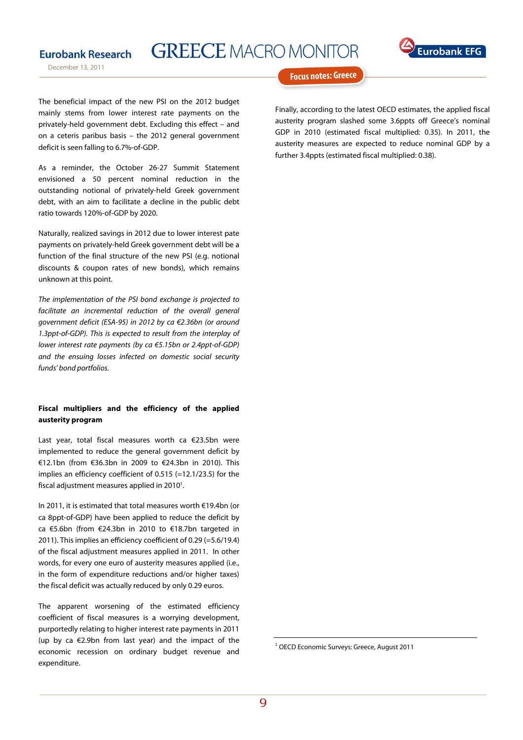# **GREECE MACRO MONITOR**

December 13, 2011

**Eurobank Research** 



**Focus notes: Greece** 

The beneficial impact of the new PSI on the 2012 budget mainly stems from lower interest rate payments on the privately-held government debt. Excluding this effect – and on a ceteris paribus basis – the 2012 general government deficit is seen falling to 6.7%-of-GDP.

As a reminder, the October 26-27 Summit Statement envisioned a 50 percent nominal reduction in the outstanding notional of privately-held Greek government debt, with an aim to facilitate a decline in the public debt ratio towards 120%-of-GDP by 2020.

Naturally, realized savings in 2012 due to lower interest pate payments on privately-held Greek government debt will be a function of the final structure of the new PSI (e.g. notional discounts & coupon rates of new bonds), which remains unknown at this point.

The implementation of the PSI bond exchange is projected to facilitate an incremental reduction of the overall general government deficit (ESA-95) in 2012 by ca €2.36bn (or around 1.3ppt-of-GDP). This is expected to result from the interplay of lower interest rate payments (by ca €5.15bn or 2.4ppt-of-GDP) and the ensuing losses infected on domestic social security funds' bond portfolios.

### **Fiscal multipliers and the efficiency of the applied austerity program**

Last year, total fiscal measures worth ca €23.5bn were implemented to reduce the general government deficit by €12.1bn (from €36.3bn in 2009 to €24.3bn in 2010). This implies an efficiency coefficient of 0.515 (=12.1/23.5) for the fiscal adjustment measures applied in  $2010<sup>1</sup>$ .

In 2011, it is estimated that total measures worth €19.4bn (or ca 8ppt-of-GDP) have been applied to reduce the deficit by ca €5.6bn (from €24.3bn in 2010 to €18.7bn targeted in 2011). This implies an efficiency coefficient of 0.29 (=5.6/19.4) of the fiscal adjustment measures applied in 2011. In other words, for every one euro of austerity measures applied (i.e., in the form of expenditure reductions and/or higher taxes) the fiscal deficit was actually reduced by only 0.29 euros.

The apparent worsening of the estimated efficiency coefficient of fiscal measures is a worrying development, purportedly relating to higher interest rate payments in 2011 (up by ca  $E$ 2.9bn from last year) and the impact of the economic recession on ordinary budget revenue and expenditure.

Finally, according to the latest OECD estimates, the applied fiscal austerity program slashed some 3.6ppts off Greece's nominal GDP in 2010 (estimated fiscal multiplied: 0.35). In 2011, the austerity measures are expected to reduce nominal GDP by a further 3.4ppts (estimated fiscal multiplied: 0.38).

<sup>&</sup>lt;sup>1</sup> OECD Economic Surveys: Greece, August 2011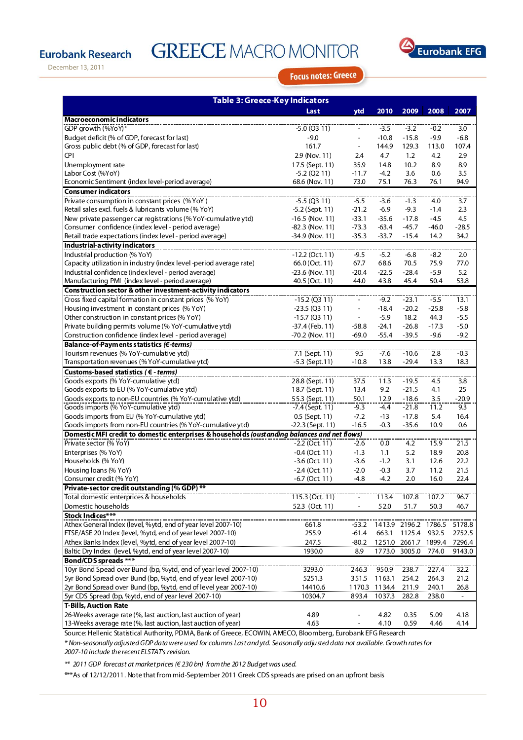# **Eurobank Research**

# **GREECE MACRO MONITOR**



December 13, 2011

**Focus notes: Greece** 

| <b>Table 3: Greece-Key Indicators</b>                                                        |                   |         |         |               |         |                          |  |  |
|----------------------------------------------------------------------------------------------|-------------------|---------|---------|---------------|---------|--------------------------|--|--|
|                                                                                              | Last              | ytd     | 2010    | 2009          | 2008    | 2007                     |  |  |
| <b>Macroeconomic indicators</b>                                                              |                   |         |         |               |         |                          |  |  |
| GDP growth (%YoY)*                                                                           | $-5.0$ (Q3 11)    |         | $-3.5$  | $-3.2$        | $-0.2$  | 3.0                      |  |  |
| Budget deficit (% of GDP, forecast for last)                                                 | $-9.0$            | ÷       | $-10.8$ | $-15.8$       | $-9.9$  | $-6.8$                   |  |  |
| Gross public debt (% of GDP, forecast for last)                                              | 161.7             | ÷,      | 144.9   | 129.3         | 113.0   | 107.4                    |  |  |
| <b>CPI</b>                                                                                   | 2.9 (Nov. 11)     | 2.4     | 4.7     | 1.2           | 4.2     | 2.9                      |  |  |
| Unemployment rate                                                                            | 17.5 (Sept. 11)   | 35.9    | 14.8    | 10.2          | 8.9     | 8.9                      |  |  |
| Labor Cost (%YoY)                                                                            | $-5.2$ (Q2 11)    | $-11.7$ | $-4.2$  | 3.6           | 0.6     | 3.5                      |  |  |
| Economic Sentiment (index level-period average)                                              | 68.6 (Nov. 11)    | 73.0    | 75.1    | 76.3          | 76.1    | 94.9                     |  |  |
| <b>Consumer indicators</b>                                                                   |                   |         |         |               |         |                          |  |  |
| Private consumption in constant prices (%YoY)                                                | $-5.5$ (Q3 11)    | $-5.5$  | $-3.6$  | $-1.3$        | 4.0     | 3.7                      |  |  |
| Retail sales excl. fuels & lubricants volume (% YoY)                                         | $-5.2$ (Sept. 11) | $-21.2$ | $-6.9$  | $-9.3$        | $-1.4$  | 2.3                      |  |  |
| New private passenger car registrations (%YoY-cumulative ytd)                                | $-16.5$ (Nov. 11) | $-33.1$ | $-35.6$ | $-17.8$       | $-4.5$  | 4.5                      |  |  |
| Consumer confidence (index level - period average)                                           | $-82.3$ (Nov. 11) | $-73.3$ | $-63.4$ | $-45.7$       | $-46.0$ | $-28.5$                  |  |  |
| Retail trade expectations (index level - period average)                                     | -34.9 (Nov. 11)   | $-35.3$ | $-33.7$ | $-15.4$       | 14.2    | 34.2                     |  |  |
| Industrial-activity indicators                                                               |                   |         |         |               |         |                          |  |  |
| Industrial production (% YoY)                                                                | $-12.2$ (Oct. 11) | $-9.5$  | $-5.2$  | $-6.8$        | -8.2    | 2.0                      |  |  |
| Capacity utilization in industry (index level-period average rate)                           | 66.0 (Oct. 11)    | 67.7    | 68.6    | 70.5          | 75.9    | 77.0                     |  |  |
| Industrial confidence (index level - period average)                                         | $-23.6$ (Nov. 11) | $-20.4$ | $-22.5$ | $-28.4$       | $-5.9$  | 5.2                      |  |  |
| Manufacturing PMI (index level - period average)                                             | 40.5 (Oct. 11)    | 44.0    | 43.8    | 45.4          | 50.4    | 53.8                     |  |  |
| Construction sector & other investment-activity indicators                                   |                   |         |         |               |         |                          |  |  |
| Cross fixed capital formation in constant prices (% YoY)                                     | $-15.2$ (Q3 11)   |         | $-9.2$  | $-23.1$       | $-5.5$  | 13.1                     |  |  |
| Housing investment in constant prices (% YoY)                                                | $-23.5$ (Q3 11)   | J.      | $-18.4$ | $-20.2$       | $-25.8$ | $-5.8$                   |  |  |
| Other construction in constant prices (% YoY)                                                | $-15.7$ (Q3 11)   | ÷,      | $-5.9$  | 18.2          | 44.3    | $-5.5$                   |  |  |
| Private building permits volume (% YoY-cumulative ytd)                                       | -37.4 (Feb. 11)   | $-58.8$ | $-24.1$ | $-26.8$       | $-17.3$ | $-5.0$                   |  |  |
| Construction confidence (index level - period average)                                       | -70.2 (Nov. 11)   | $-69.0$ | $-55.4$ | $-39.5$       | $-9.6$  | -9.2                     |  |  |
| Balance-of-Payments statistics (€-terms)<br>Tourism revenues (% YoY-cumulative ytd)          | 7.1 (Sept. 11)    | 9.5     | $-7.6$  | $-10.6$       | 2.8     | $-0.3$                   |  |  |
| Transportation revenues (% YoY-cumulative ytd)                                               | $-5.3$ (Sept.11)  | $-10.8$ | 13.8    | $-29.4$       | 13.3    | 18.3                     |  |  |
| Customs-based statistics ( $\epsilon$ - terms)                                               |                   |         |         |               |         |                          |  |  |
| Goods exports (% YoY-cumulative ytd)                                                         | 28.8 (Sept. 11)   | 37.5    | 11.3    | $-19.5$       | 4.5     | 3.8                      |  |  |
| Goods exports to EU (% YoY-cumulative ytd)                                                   | 18.7 (Sept. 11)   | 13.4    | 9.2     | $-21.5$       | 4.1     | 25                       |  |  |
| Goods exports to non-EU countries (% YoY-cumulative ytd)                                     | 55.3 (Sept. 11)   | 50.1    | 12.9    | -18.6         | 3.5     | $-20.9$                  |  |  |
| Goods imports (% YoY-cumulative ytd)                                                         | $-7.4$ (Sept. 11) | $-9.3$  | $-4.4$  | $-21.8$       | 11.2    | 9.3                      |  |  |
| Goods imports from EU (% YoY-cumulative ytd)                                                 | 0.5 (Sept. 11)    | $-7.2$  | $-13$   | $-17.8$       | 5.4     | 16.4                     |  |  |
| Goods imports from non-EU countries (% YoY-cumulative ytd)                                   | -22.3 (Sept. 11)  | $-16.5$ | $-0.3$  | $-35.6$       | 10.9    | 0.6                      |  |  |
| Domestic MFI credit to domestic enterprises & households (oustanding balances and net flows) |                   |         |         |               |         |                          |  |  |
| Private sector (% YoY)                                                                       | $-2.2$ (Oct. 11)  | $-2.6$  | 0.0     | 4.2           | 15.9    | 21.5                     |  |  |
| Enterprises (% YoY)                                                                          | $-0.4$ (Oct. 11)  | $-1.3$  | 1.1     | 5.2           | 18.9    | 20.8                     |  |  |
| Households (% YoY)                                                                           | $-3.6$ (Oct. 11)  | $-3.6$  | $-1.2$  | 3.1           | 12.6    | 22.2                     |  |  |
| Housing loans (% YoY)                                                                        | $-2.4$ (Oct. 11)  | $-2.0$  | $-0.3$  | 3.7           | 11.2    | 21.5                     |  |  |
| Consumer credit (% YoY)                                                                      | $-6.7$ (Oct. 11)  | $-4.8$  | $-4.2$  | 2.0           | 16.0    | 22.4                     |  |  |
| Private-sector credit outstanding (% GDP) *                                                  |                   |         |         |               |         |                          |  |  |
| Total domestic enterprices & households                                                      | 115.3 (Oct. 11)   |         | 113.4   | 107.8         | 107.2   | 96.7                     |  |  |
| Domestic households                                                                          | 52.3 (Oct. 11)    | ÷       | 52.0    | 51.7          | 50.3    | 46.7                     |  |  |
| Stock Indices***                                                                             |                   |         |         |               |         |                          |  |  |
| Athex General Index (level, %ytd, end of year level 2007-10)                                 | 661.8             | $-53.2$ | 1413.9  | 2196.2 1786.5 |         | 5178.8                   |  |  |
| FTSE/ASE 20 Index (level, %ytd, end of year level 2007-10)                                   | 255.9             | $-61.4$ | 663.1   | 1125.4        | 932.5   | 2752.5                   |  |  |
| Athex Banks Index (level, %ytd, end of year level 2007-10)                                   | 247.5             | $-80.2$ | 1251.0  | 2661.7 1899.4 |         | 7296.4                   |  |  |
| Baltic Dry Index (level, %ytd, end of year level 2007-10)                                    | 1930.0            | 8.9     | 1773.0  | 3005.0        | 774.0   | 9143.0                   |  |  |
| <b>Bond/CDS</b> spreads ***                                                                  |                   |         |         |               |         |                          |  |  |
| 10yr Bond Spead over Bund (bp, %ytd, end of year level 2007-10)                              | 3293.0            | 246.3   | 950.9   | 238.7         | 227.4   | 32.2                     |  |  |
| 5yr Bond Spread over Bund (bp, %ytd, end of year level 2007-10)                              | 5251.3            | 351.5   | 1163.1  | 254.2         | 264.3   | 21.2                     |  |  |
| 2yr Bond Spread over Bund (bp, %ytd, end of level year 2007-10)                              | 14410.6           | 1170.3  | 1134.4  | 211.9         | 240.1   | 26.8                     |  |  |
| 5yr CDS Spread (bp, %ytd, end of year level 2007-10)                                         | 10304.7           | 893.4   | 1037.3  | 282.8         | 238.0   | $\overline{\phantom{a}}$ |  |  |
| <b>T-Bills, Auction Rate</b>                                                                 |                   |         |         |               |         |                          |  |  |
| 26-Weeks average rate (%, last auction, last auction of year)                                | 4.89              |         | 4.82    | 0.35          | 5.09    | 4.18                     |  |  |
| 13-Weeks average rate (%, last auction, last auction of year)                                | 4.63              |         | 4.10    | 0.59          | 4.46    | 4.14                     |  |  |

Source: Hellenic Statistical Authority, PDMA, Bank of Greece, ECOWIN, AMECO, Bloomberg, Eurobank EFG Research

\* Non-seasonally adjusted GDP data were used for columns Last and ytd. Seasonally adjusted data not available. Growth rates for 2007-10 include the recent ELSTAT's revision.

\*\* 2011 GDP forecast at market prices (€ 230 bn) from the 2012 Budget was used.

\*\*\*As of 12/12/2011. Note that from mid-September 2011 Greek CDS spreads are prised on an upfront basis